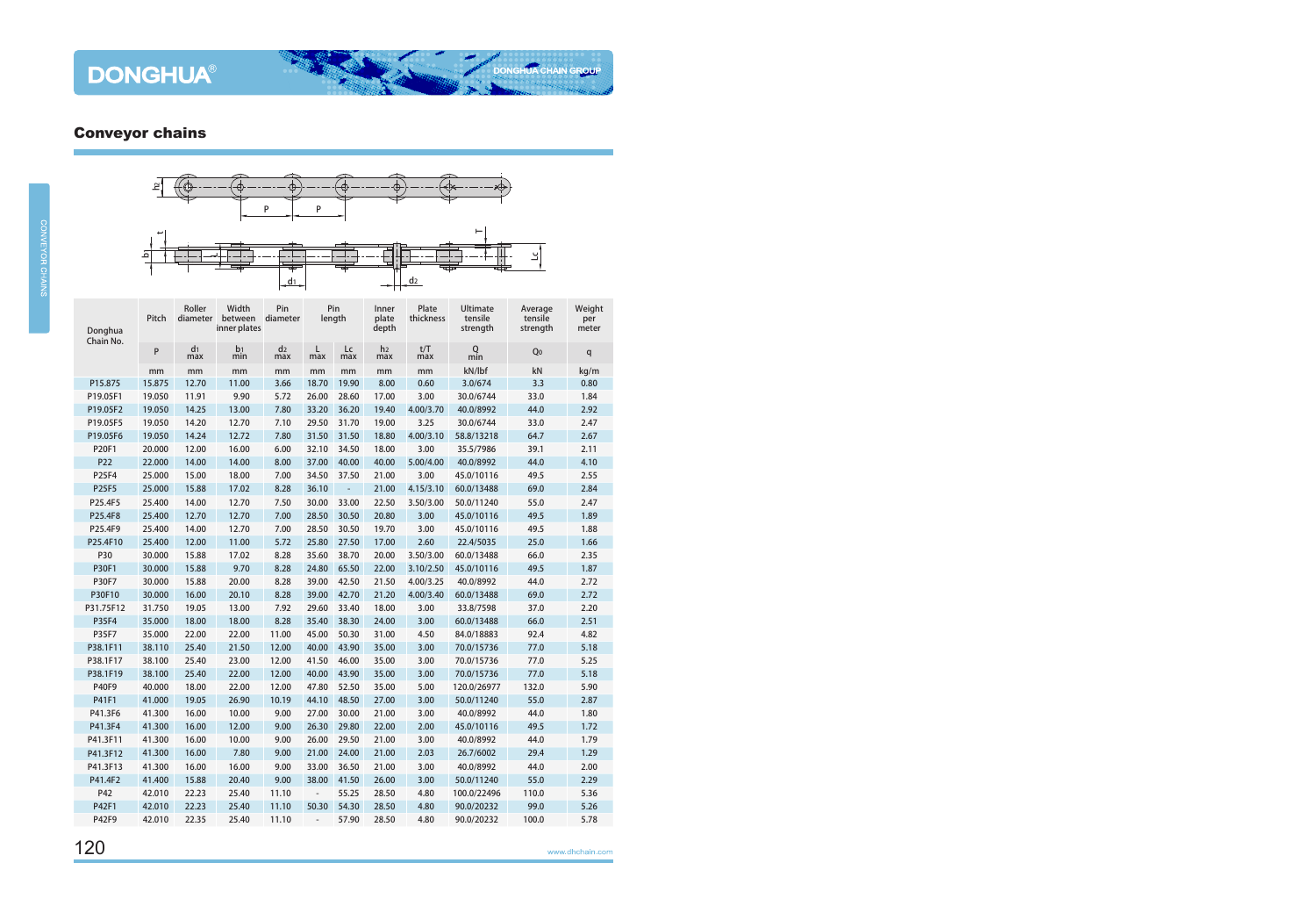

| Donghua<br>Chain No. | Pitch  | Roller<br>diameter    | Width<br>between diameter<br>inner plates | Pin                   |                          | Pin<br>length            |                       | Plate<br>thickness | Ultimate<br>tensile<br>strength | Average<br>tensile<br>strength | Weight<br>per<br>meter |
|----------------------|--------|-----------------------|-------------------------------------------|-----------------------|--------------------------|--------------------------|-----------------------|--------------------|---------------------------------|--------------------------------|------------------------|
|                      | P      | d <sub>1</sub><br>max | b <sub>1</sub><br>min                     | d <sub>2</sub><br>max | L<br>max                 | Lc<br>max                | h <sub>2</sub><br>max | t/T<br>max         | Q<br>min                        | Q0                             | q                      |
|                      | mm     | mm                    | mm                                        | mm                    | mm                       | mm                       | mm                    | mm                 | kN/lbf                          | kN                             | kg/m                   |
| P15.875              | 15.875 | 12.70                 | 11.00                                     | 3.66                  | 18.70                    | 19.90                    | 8.00                  | 0.60               | 3.0/674                         | 3.3                            | 0.80                   |
| P19.05F1             | 19.050 | 11.91                 | 9.90                                      | 5.72                  | 26.00                    | 28.60                    | 17.00                 | 3.00               | 30.0/6744                       | 33.0                           | 1.84                   |
| P19.05F2             | 19.050 | 14.25                 | 13.00                                     | 7.80                  | 33.20                    | 36.20                    | 19.40                 | 4.00/3.70          | 40.0/8992                       | 44.0                           | 2.92                   |
| P19.05F5             | 19.050 | 14.20                 | 12.70                                     | 7.10                  | 29.50                    | 31.70                    | 19.00                 | 3.25               | 30.0/6744                       | 33.0                           | 2.47                   |
| P19.05F6             | 19.050 | 14.24                 | 12.72                                     | 7.80                  | 31.50                    | 31.50                    | 18.80                 | 4.00/3.10          | 58.8/13218                      | 64.7                           | 2.67                   |
| P20F1                | 20.000 | 12.00                 | 16.00                                     | 6.00                  | 32.10                    | 34.50                    | 18.00                 | 3.00               | 35.5/7986                       | 39.1                           | 2.11                   |
| P22                  | 22.000 | 14.00                 | 14.00                                     | 8.00                  | 37.00                    | 40.00                    | 40.00                 | 5.00/4.00          | 40.0/8992                       | 44.0                           | 4.10                   |
| P25F4                | 25.000 | 15.00                 | 18.00                                     | 7.00                  | 34.50                    | 37.50                    | 21.00                 | 3.00               | 45.0/10116                      | 49.5                           | 2.55                   |
| P25F5                | 25.000 | 15.88                 | 17.02                                     | 8.28                  | 36.10                    | $\overline{\phantom{a}}$ | 21.00                 | 4.15/3.10          | 60.0/13488                      | 69.0                           | 2.84                   |
| P25.4F5              | 25.400 | 14.00                 | 12.70                                     | 7.50                  | 30.00                    | 33.00                    | 22.50                 | 3.50/3.00          | 50.0/11240                      | 55.0                           | 2.47                   |
| P25.4F8              | 25.400 | 12.70                 | 12.70                                     | 7.00                  | 28.50                    | 30.50                    | 20.80                 | 3.00               | 45.0/10116                      | 49.5                           | 1.89                   |
| P25.4F9              | 25.400 | 14.00                 | 12.70                                     | 7.00                  | 28.50                    | 30.50                    | 19.70                 | 3.00               | 45.0/10116                      | 49.5                           | 1.88                   |
| P25.4F10             | 25.400 | 12.00                 | 11.00                                     | 5.72                  | 25.80                    | 27.50                    | 17.00                 | 2.60               | 22.4/5035                       | 25.0                           | 1.66                   |
| P30                  | 30.000 | 15.88                 | 17.02                                     | 8.28                  | 35.60                    | 38.70                    | 20.00                 | 3.50/3.00          | 60.0/13488                      | 66.0                           | 2.35                   |
| <b>P30F1</b>         | 30.000 | 15.88                 | 9.70                                      | 8.28                  | 24.80                    | 65.50                    | 22.00                 | 3.10/2.50          | 45.0/10116                      | 49.5                           | 1.87                   |
| P30F7                | 30.000 | 15.88                 | 20.00                                     | 8.28                  | 39.00                    | 42.50                    | 21.50                 | 4.00/3.25          | 40.0/8992                       | 44.0                           | 2.72                   |
| P30F10               | 30.000 | 16.00                 | 20.10                                     | 8.28                  | 39.00                    | 42.70                    | 21.20                 | 4.00/3.40          | 60.0/13488                      | 69.0                           | 2.72                   |
| P31.75F12            | 31.750 | 19.05                 | 13.00                                     | 7.92                  | 29.60                    | 33.40                    | 18.00                 | 3.00               | 33.8/7598                       | 37.0                           | 2.20                   |
| P35F4                | 35.000 | 18.00                 | 18.00                                     | 8.28                  | 35.40                    | 38.30                    | 24.00                 | 3.00               | 60.0/13488                      | 66.0                           | 2.51                   |
| P35F7                | 35.000 | 22.00                 | 22.00                                     | 11.00                 | 45.00                    | 50.30                    | 31.00                 | 4.50               | 84.0/18883                      | 92.4                           | 4.82                   |
| P38.1F11             | 38.110 | 25.40                 | 21.50                                     | 12.00                 | 40.00                    | 43.90                    | 35.00                 | 3.00               | 70.0/15736                      | 77.0                           | 5.18                   |
| P38.1F17             | 38.100 | 25.40                 | 23.00                                     | 12.00                 | 41.50                    | 46.00                    | 35.00                 | 3.00               | 70.0/15736                      | 77.0                           | 5.25                   |
| P38.1F19             | 38.100 | 25.40                 | 22.00                                     | 12.00                 | 40.00                    | 43.90                    | 35.00                 | 3.00               | 70.0/15736                      | 77.0                           | 5.18                   |
| P40F9                | 40.000 | 18.00                 | 22.00                                     | 12.00                 | 47.80                    | 52.50                    | 35.00                 | 5.00               | 120.0/26977                     | 132.0                          | 5.90                   |
| P41F1                | 41.000 | 19.05                 | 26.90                                     | 10.19                 | 44.10                    | 48.50                    | 27.00                 | 3.00               | 50.0/11240                      | 55.0                           | 2.87                   |
| P41.3F6              | 41.300 | 16.00                 | 10.00                                     | 9.00                  | 27.00                    | 30.00                    | 21.00                 | 3.00               | 40.0/8992                       | 44.0                           | 1.80                   |
| P41.3F4              | 41.300 | 16.00                 | 12.00                                     | 9.00                  | 26.30                    | 29.80                    | 22.00                 | 2.00               | 45.0/10116                      | 49.5                           | 1.72                   |
| P41.3F11             | 41.300 | 16.00                 | 10.00                                     | 9.00                  | 26.00                    | 29.50                    | 21.00                 | 3.00               | 40.0/8992                       | 44.0                           | 1.79                   |
| P41.3F12             | 41.300 | 16.00                 | 7.80                                      | 9.00                  | 21.00                    | 24.00                    | 21.00                 | 2.03               | 26.7/6002                       | 29.4                           | 1.29                   |
| P41.3F13             | 41.300 | 16.00                 | 16.00                                     | 9.00                  | 33.00                    | 36.50                    | 21.00                 | 3.00               | 40.0/8992                       | 44.0                           | 2.00                   |
| P41.4F2              | 41.400 | 15.88                 | 20.40                                     | 9.00                  | 38.00                    | 41.50                    | 26.00                 | 3.00               | 50.0/11240                      | 55.0                           | 2.29                   |
| P42                  | 42.010 | 22.23                 | 25.40                                     | 11.10                 | $\overline{\phantom{a}}$ | 55.25                    | 28.50                 | 4.80               | 100.0/22496                     | 110.0                          | 5.36                   |
| P42F1                | 42.010 | 22.23                 | 25.40                                     | 11.10                 | 50.30                    | 54.30                    | 28.50                 | 4.80               | 90.0/20232                      | 99.0                           | 5.26                   |
| P42F9                | 42.010 | 22.35                 | 25.40                                     | 11.10                 | $\overline{\phantom{0}}$ | 57.90                    | 28.50                 | 4.80               | 90.0/20232                      | 100.0                          | 5.78                   |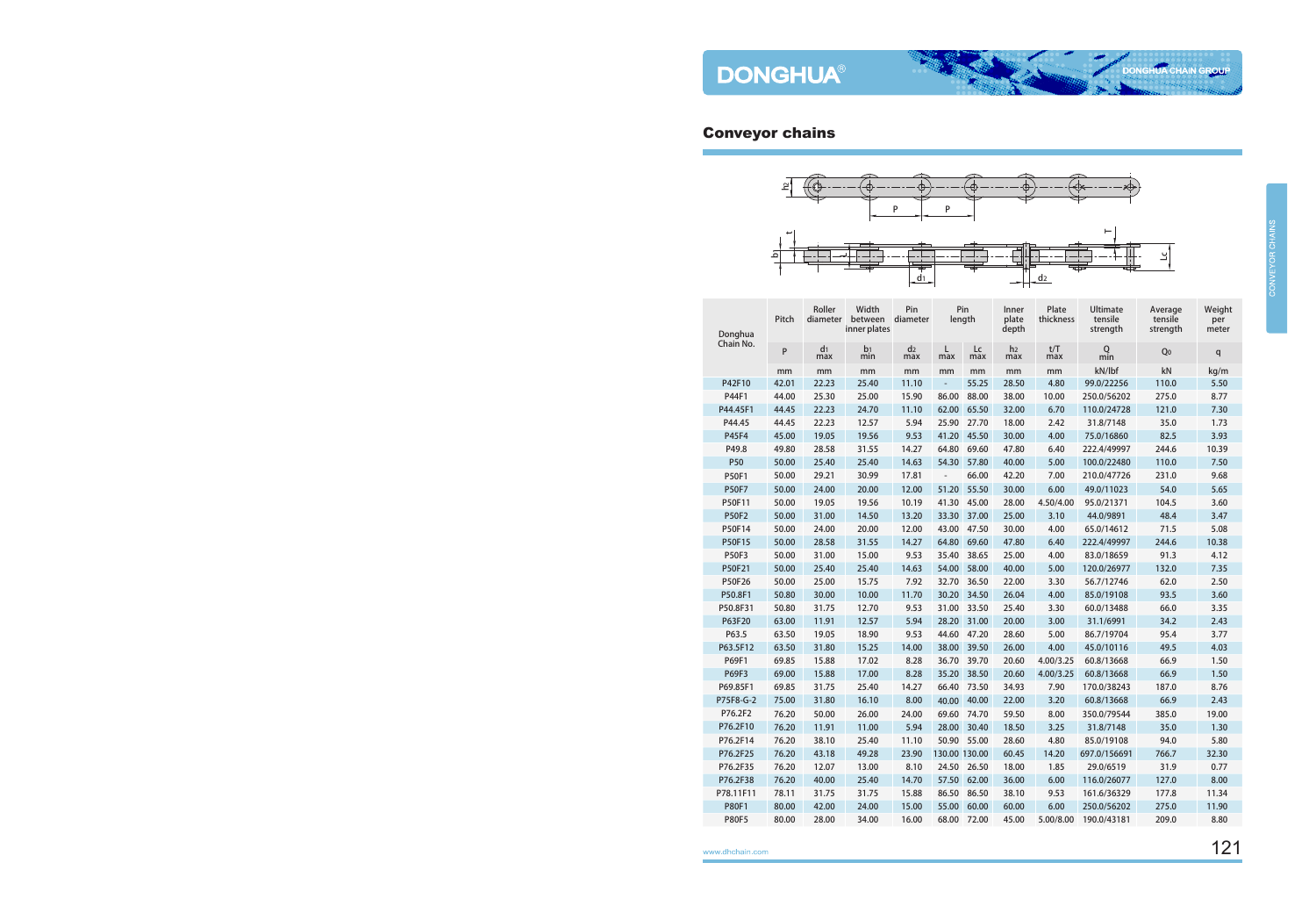

| Donghua<br>Chain No. | Pitch | Roller<br>diameter    | Width<br>between<br>inner plates | Pin<br>diameter       |                          | Pin<br>length | Inner<br>plate<br>depth | Plate<br>thickness | Ultimate<br>tensile<br>strength | Average<br>tensile<br>strength | Weight<br>per<br>meter |
|----------------------|-------|-----------------------|----------------------------------|-----------------------|--------------------------|---------------|-------------------------|--------------------|---------------------------------|--------------------------------|------------------------|
|                      | P     | d <sub>1</sub><br>max | b <sub>1</sub><br>min            | d <sub>2</sub><br>max | L<br>max                 | Lc<br>max     | h <sub>2</sub><br>max   | t/T<br>max         | Q<br>min                        | Q <sub>0</sub>                 | q                      |
|                      | mm    | mm                    | mm                               | mm                    | mm                       | mm            | mm                      | mm                 | kN/lbf                          | $\mathsf{k}\mathsf{N}$         | kg/m                   |
| P42F10               | 42.01 | 22.23                 | 25.40                            | 11.10                 | $\overline{\phantom{a}}$ | 55.25         | 28.50                   | 4.80               | 99.0/22256                      | 110.0                          | 5.50                   |
| P44F1                | 44.00 | 25.30                 | 25.00                            | 15.90                 | 86.00                    | 88.00         | 38.00                   | 10.00              | 250.0/56202                     | 275.0                          | 8.77                   |
| P44.45F1             | 44.45 | 22.23                 | 24.70                            | 11.10                 | 62.00                    | 65.50         | 32.00                   | 6.70               | 110.0/24728                     | 121.0                          | 7.30                   |
| P44.45               | 44.45 | 22.23                 | 12.57                            | 5.94                  | 25.90                    | 27.70         | 18.00                   | 2.42               | 31.8/7148                       | 35.0                           | 1.73                   |
| P45F4                | 45.00 | 19.05                 | 19.56                            | 9.53                  | 41.20                    | 45.50         | 30.00                   | 4.00               | 75.0/16860                      | 82.5                           | 3.93                   |
| P49.8                | 49.80 | 28.58                 | 31.55                            | 14.27                 | 64.80                    | 69.60         | 47.80                   | 6.40               | 222.4/49997                     | 244.6                          | 10.39                  |
| P50                  | 50.00 | 25.40                 | 25.40                            | 14.63                 | 54.30                    | 57.80         | 40.00                   | 5.00               | 100.0/22480                     | 110.0                          | 7.50                   |
| P50F1                | 50.00 | 29.21                 | 30.99                            | 17.81                 | $\overline{\phantom{a}}$ | 66.00         | 42.20                   | 7.00               | 210.0/47726                     | 231.0                          | 9.68                   |
| <b>P50F7</b>         | 50.00 | 24.00                 | 20.00                            | 12.00                 | 51.20                    | 55.50         | 30.00                   | 6.00               | 49.0/11023                      | 54.0                           | 5.65                   |
| P50F11               | 50.00 | 19.05                 | 19.56                            | 10.19                 | 41.30                    | 45.00         | 28.00                   | 4.50/4.00          | 95.0/21371                      | 104.5                          | 3.60                   |
| <b>P50F2</b>         | 50.00 | 31.00                 | 14.50                            | 13.20                 | 33.30                    | 37.00         | 25.00                   | 3.10               | 44.0/9891                       | 48.4                           | 3.47                   |
| P50F14               | 50.00 | 24.00                 | 20.00                            | 12.00                 | 43.00                    | 47.50         | 30.00                   | 4.00               | 65.0/14612                      | 71.5                           | 5.08                   |
| P50F15               | 50.00 | 28.58                 | 31.55                            | 14.27                 | 64.80                    | 69.60         | 47.80                   | 6.40               | 222.4/49997                     | 244.6                          | 10.38                  |
| <b>P50F3</b>         | 50.00 | 31.00                 | 15.00                            | 9.53                  | 35.40                    | 38.65         | 25.00                   | 4.00               | 83.0/18659                      | 91.3                           | 4.12                   |
| P50F21               | 50.00 | 25.40                 | 25.40                            | 14.63                 | 54.00                    | 58.00         | 40.00                   | 5.00               | 120.0/26977                     | 132.0                          | 7.35                   |
| P50F26               | 50.00 | 25.00                 | 15.75                            | 7.92                  | 32.70                    | 36.50         | 22.00                   | 3.30               | 56.7/12746                      | 62.0                           | 2.50                   |
| P50.8F1              | 50.80 | 30.00                 | 10.00                            | 11.70                 | 30.20                    | 34.50         | 26.04                   | 4.00               | 85.0/19108                      | 93.5                           | 3.60                   |
| P50.8F31             | 50.80 | 31.75                 | 12.70                            | 9.53                  | 31.00                    | 33.50         | 25.40                   | 3.30               | 60.0/13488                      | 66.0                           | 3.35                   |
| P63F20               | 63.00 | 11.91                 | 12.57                            | 5.94                  | 28.20                    | 31.00         | 20.00                   | 3.00               | 31.1/6991                       | 34.2                           | 2.43                   |
| P63.5                | 63.50 | 19.05                 | 18.90                            | 9.53                  | 44.60                    | 47.20         | 28.60                   | 5.00               | 86.7/19704                      | 95.4                           | 3.77                   |
| P63.5F12             | 63.50 | 31.80                 | 15.25                            | 14.00                 | 38.00                    | 39.50         | 26.00                   | 4.00               | 45.0/10116                      | 49.5                           | 4.03                   |
| P69F1                | 69.85 | 15.88                 | 17.02                            | 8.28                  | 36.70                    | 39.70         | 20.60                   | 4.00/3.25          | 60.8/13668                      | 66.9                           | 1.50                   |
| <b>P69F3</b>         | 69.00 | 15.88                 | 17.00                            | 8.28                  | 35.20                    | 38.50         | 20.60                   | 4.00/3.25          | 60.8/13668                      | 66.9                           | 1.50                   |
| P69.85F1             | 69.85 | 31.75                 | 25.40                            | 14.27                 | 66.40                    | 73.50         | 34.93                   | 7.90               | 170.0/38243                     | 187.0                          | 8.76                   |
| P75F8-G-2            | 75.00 | 31.80                 | 16.10                            | 8.00                  | 40.00                    | 40.00         | 22.00                   | 3.20               | 60.8/13668                      | 66.9                           | 2.43                   |
| P76.2F2              | 76.20 | 50.00                 | 26.00                            | 24.00                 | 69.60                    | 74.70         | 59.50                   | 8.00               | 350.0/79544                     | 385.0                          | 19.00                  |
| P76.2F10             | 76.20 | 11.91                 | 11.00                            | 5.94                  | 28.00                    | 30.40         | 18.50                   | 3.25               | 31.8/7148                       | 35.0                           | 1.30                   |
| P76.2F14             | 76.20 | 38.10                 | 25.40                            | 11.10                 | 50.90                    | 55.00         | 28.60                   | 4.80               | 85.0/19108                      | 94.0                           | 5.80                   |
| P76.2F25             | 76.20 | 43.18                 | 49.28                            | 23.90                 | 130.00 130.00            |               | 60.45                   | 14.20              | 697.0/156691                    | 766.7                          | 32.30                  |
| P76.2F35             | 76.20 | 12.07                 | 13.00                            | 8.10                  |                          | 24.50 26.50   | 18.00                   | 1.85               | 29.0/6519                       | 31.9                           | 0.77                   |
| P76.2F38             | 76.20 | 40.00                 | 25.40                            | 14.70                 | 57.50                    | 62.00         | 36.00                   | 6.00               | 116.0/26077                     | 127.0                          | 8.00                   |
| P78.11F11            | 78.11 | 31.75                 | 31.75                            | 15.88                 | 86.50                    | 86.50         | 38.10                   | 9.53               | 161.6/36329                     | 177.8                          | 11.34                  |
| <b>P80F1</b>         | 80.00 | 42.00                 | 24.00                            | 15.00                 | 55.00                    | 60.00         | 60.00                   | 6.00               | 250.0/56202                     | 275.0                          | 11.90                  |
| <b>P80F5</b>         | 80.00 | 28.00                 | 34.00                            | 16.00                 | 68.00                    | 72.00         | 45.00                   | 5.00/8.00          | 190.0/43181                     | 209.0                          | 8.80                   |
|                      |       |                       |                                  |                       |                          |               |                         |                    |                                 |                                |                        |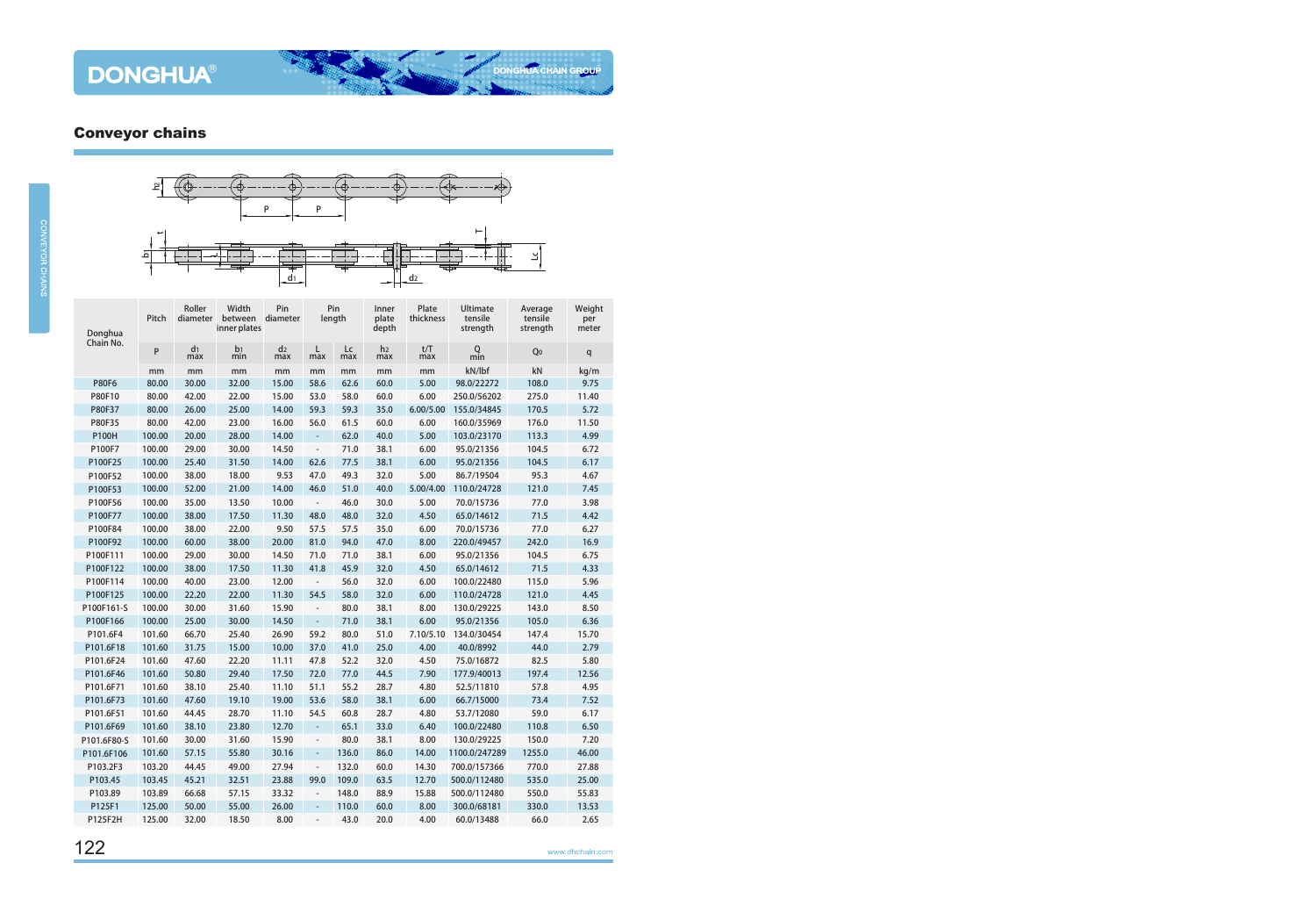

| Donghua<br>Chain No. | Pitch  | Roller<br>diameter    | Width<br>between<br>inner plates | Pin<br>diameter       | Pin<br>length            |           | Inner<br>plate<br>depth | Plate<br>thickness | Ultimate<br>tensile<br>strength | Average<br>tensile<br>strength | Weight<br>per<br>meter |
|----------------------|--------|-----------------------|----------------------------------|-----------------------|--------------------------|-----------|-------------------------|--------------------|---------------------------------|--------------------------------|------------------------|
|                      | P      | d <sub>1</sub><br>max | b <sub>1</sub><br>min            | d <sub>2</sub><br>max | L<br>max                 | Lc<br>max | h <sub>2</sub><br>max   | t/T<br>max         | Q<br>min                        | Q <sub>0</sub>                 | q                      |
|                      | mm     | mm                    | mm                               | mm                    | mm                       | mm        | mm                      | mm                 | kN/lbf                          | kN                             | kg/m                   |
| <b>P80F6</b>         | 80.00  | 30.00                 | 32.00                            | 15.00                 | 58.6                     | 62.6      | 60.0                    | 5.00               | 98.0/22272                      | 108.0                          | 9.75                   |
| P80F10               | 80.00  | 42.00                 | 22.00                            | 15.00                 | 53.0                     | 58.0      | 60.0                    | 6.00               | 250.0/56202                     | 275.0                          | 11.40                  |
| P80F37               | 80.00  | 26.00                 | 25.00                            | 14.00                 | 59.3                     | 59.3      | 35.0                    | 6.00/5.00          | 155.0/34845                     | 170.5                          | 5.72                   |
| P80F35               | 80.00  | 42.00                 | 23.00                            | 16.00                 | 56.0                     | 61.5      | 60.0                    | 6.00               | 160.0/35969                     | 176.0                          | 11.50                  |
| <b>P100H</b>         | 100.00 | 20.00                 | 28.00                            | 14.00                 | $\overline{\phantom{a}}$ | 62.0      | 40.0                    | 5.00               | 103.0/23170                     | 113.3                          | 4.99                   |
| P100F7               | 100.00 | 29.00                 | 30.00                            | 14.50                 | $\overline{\phantom{a}}$ | 71.0      | 38.1                    | 6.00               | 95.0/21356                      | 104.5                          | 6.72                   |
| P100F25              | 100.00 | 25.40                 | 31.50                            | 14.00                 | 62.6                     | 77.5      | 38.1                    | 6.00               | 95.0/21356                      | 104.5                          | 6.17                   |
| P100F52              | 100.00 | 38.00                 | 18.00                            | 9.53                  | 47.0                     | 49.3      | 32.0                    | 5.00               | 86.7/19504                      | 95.3                           | 4.67                   |
| P100F53              | 100.00 | 52.00                 | 21.00                            | 14.00                 | 46.0                     | 51.0      | 40.0                    | 5.00/4.00          | 110.0/24728                     | 121.0                          | 7.45                   |
| P100F56              | 100.00 | 35.00                 | 13.50                            | 10.00                 | $\blacksquare$           | 46.0      | 30.0                    | 5.00               | 70.0/15736                      | 77.0                           | 3.98                   |
| P100F77              | 100.00 | 38.00                 | 17.50                            | 11.30                 | 48.0                     | 48.0      | 32.0                    | 4.50               | 65.0/14612                      | 71.5                           | 4.42                   |
| P100F84              | 100.00 | 38.00                 | 22.00                            | 9.50                  | 57.5                     | 57.5      | 35.0                    | 6.00               | 70.0/15736                      | 77.0                           | 6.27                   |
| P100F92              | 100.00 | 60.00                 | 38.00                            | 20.00                 | 81.0                     | 94.0      | 47.0                    | 8.00               | 220.0/49457                     | 242.0                          | 16.9                   |
| P100F111             | 100.00 | 29.00                 | 30.00                            | 14.50                 | 71.0                     | 71.0      | 38.1                    | 6.00               | 95.0/21356                      | 104.5                          | 6.75                   |
| P100F122             | 100.00 | 38.00                 | 17.50                            | 11.30                 | 41.8                     | 45.9      | 32.0                    | 4.50               | 65.0/14612                      | 71.5                           | 4.33                   |
| P100F114             | 100.00 | 40.00                 | 23.00                            | 12.00                 | $\overline{\phantom{a}}$ | 56.0      | 32.0                    | 6.00               | 100.0/22480                     | 115.0                          | 5.96                   |
| P100F125             | 100.00 | 22.20                 | 22.00                            | 11.30                 | 54.5                     | 58.0      | 32.0                    | 6.00               | 110.0/24728                     | 121.0                          | 4.45                   |
| P100F161-S           | 100.00 | 30.00                 | 31.60                            | 15.90                 | $\blacksquare$           | 80.0      | 38.1                    | 8.00               | 130.0/29225                     | 143.0                          | 8.50                   |
| P100F166             | 100.00 | 25.00                 | 30.00                            | 14.50                 | $\overline{\phantom{a}}$ | 71.0      | 38.1                    | 6.00               | 95.0/21356                      | 105.0                          | 6.36                   |
| P101.6F4             | 101.60 | 66.70                 | 25.40                            | 26.90                 | 59.2                     | 80.0      | 51.0                    | 7.10/5.10          | 134.0/30454                     | 147.4                          | 15.70                  |
| P101.6F18            | 101.60 | 31.75                 | 15.00                            | 10.00                 | 37.0                     | 41.0      | 25.0                    | 4.00               | 40.0/8992                       | 44.0                           | 2.79                   |
| P101.6F24            | 101.60 | 47.60                 | 22.20                            | 11.11                 | 47.8                     | 52.2      | 32.0                    | 4.50               | 75.0/16872                      | 82.5                           | 5.80                   |
| P101.6F46            | 101.60 | 50.80                 | 29.40                            | 17.50                 | 72.0                     | 77.0      | 44.5                    | 7.90               | 177.9/40013                     | 197.4                          | 12.56                  |
| P101.6F71            | 101.60 | 38.10                 | 25.40                            | 11.10                 | 51.1                     | 55.2      | 28.7                    | 4.80               | 52.5/11810                      | 57.8                           | 4.95                   |
| P101.6F73            | 101.60 | 47.60                 | 19.10                            | 19.00                 | 53.6                     | 58.0      | 38.1                    | 6.00               | 66.7/15000                      | 73.4                           | 7.52                   |
| P101.6F51            | 101.60 | 44.45                 | 28.70                            | 11.10                 | 54.5                     | 60.8      | 28.7                    | 4.80               | 53.7/12080                      | 59.0                           | 6.17                   |
| P101.6F69            | 101.60 | 38.10                 | 23.80                            | 12.70                 | $\Box$                   | 65.1      | 33.0                    | 6.40               | 100.0/22480                     | 110.8                          | 6.50                   |
| P101.6F80-S          | 101.60 | 30.00                 | 31.60                            | 15.90                 | $\overline{\phantom{a}}$ | 80.0      | 38.1                    | 8.00               | 130.0/29225                     | 150.0                          | 7.20                   |
| P101.6F106           | 101.60 | 57.15                 | 55.80                            | 30.16                 | $\overline{\phantom{a}}$ | 136.0     | 86.0                    | 14.00              | 1100.0/247289                   | 1255.0                         | 46.00                  |
| P103.2F3             | 103.20 | 44.45                 | 49.00                            | 27.94                 | $\overline{\phantom{a}}$ | 132.0     | 60.0                    | 14.30              | 700.0/157366                    | 770.0                          | 27.88                  |
| P103.45              | 103.45 | 45.21                 | 32.51                            | 23.88                 | 99.0                     | 109.0     | 63.5                    | 12.70              | 500.0/112480                    | 535.0                          | 25.00                  |
| P103.89              | 103.89 | 66.68                 | 57.15                            | 33.32                 | $\overline{\phantom{a}}$ | 148.0     | 88.9                    | 15.88              | 500.0/112480                    | 550.0                          | 55.83                  |
| P125F1               | 125.00 | 50.00                 | 55.00                            | 26.00                 | $\overline{\phantom{a}}$ | 110.0     | 60.0                    | 8.00               | 300.0/68181                     | 330.0                          | 13.53                  |
| P125F2H              | 125.00 | 32.00                 | 18.50                            | 8.00                  | $\overline{\phantom{m}}$ | 43.0      | 20.0                    | 4.00               | 60.0/13488                      | 66.0                           | 2.65                   |